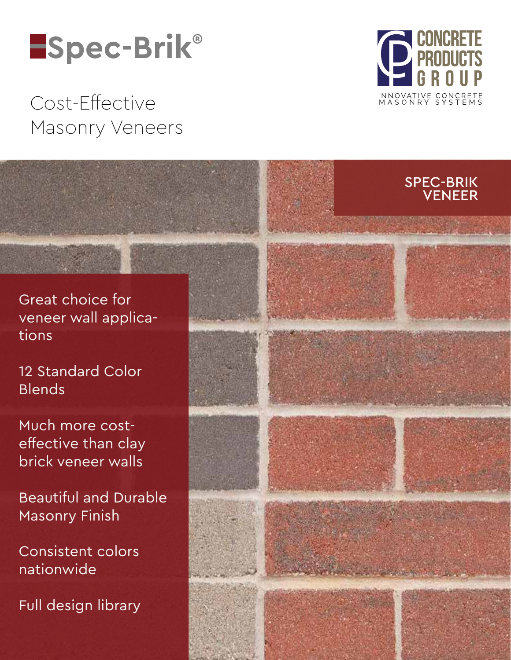# **Spec-Brik®**

## Cost-Effective Masonry Veneers



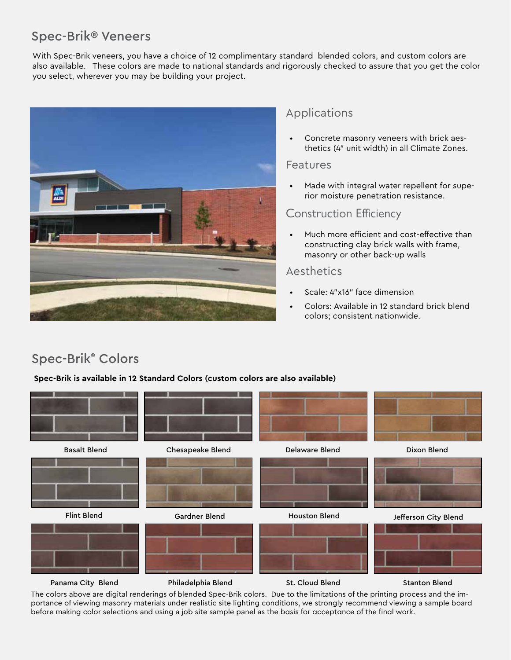## Spec-Brik® Veneers

With Spec-Brik veneers, you have a choice of 12 complimentary standard blended colors, and custom colors are also available. These colors are made to national standards and rigorously checked to assure that you get the color you select, wherever you may be building your project.



### Applications

• Concrete masonry veneers with brick aesthetics (4" unit width) in all Climate Zones.

#### Features

• Made with integral water repellent for superior moisture penetration resistance.

### Construction Efficiency

• Much more efficient and cost-effective than constructing clay brick walls with frame, masonry or other back-up walls

#### Aesthetics

- Scale: 4"x16" face dimension
- Colors: Available in 12 standard brick blend colors; consistent nationwide.

## Spec-Brik® Colors

**Spec-Brik is available in 12 Standard Colors (custom colors are also available)**



The colors above are digital renderings of blended Spec-Brik colors. Due to the limitations of the printing process and the importance of viewing masonry materials under realistic site lighting conditions, we strongly recommend viewing a sample board before making color selections and using a job site sample panel as the basis for acceptance of the final work.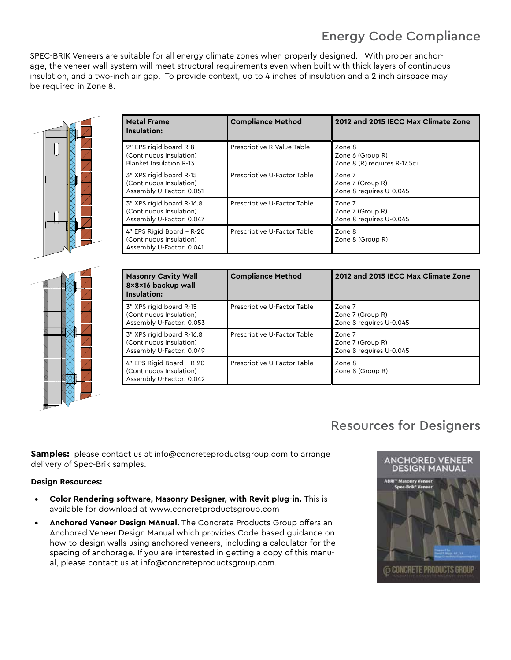## Energy Code Compliance

SPEC-BRIK Veneers are suitable for all energy climate zones when properly designed. With proper anchorage, the veneer wall system will meet structural requirements even when built with thick layers of continuous insulation, and a two-inch air gap. To provide context, up to 4 inches of insulation and a 2 inch airspace may be required in Zone 8.



| <b>Metal Frame</b><br>Insulation:                                                | <b>Compliance Method</b>    | 2012 and 2015 IECC Max Climate Zone                        |
|----------------------------------------------------------------------------------|-----------------------------|------------------------------------------------------------|
| 2" EPS rigid board R-8<br>(Continuous Insulation)<br>Blanket Insulation R-13     | Prescriptive R-Value Table  | Zone 8<br>Zone 6 (Group R)<br>Zone 8 (R) requires R-17.5ci |
| 3" XPS rigid board R-15<br>(Continuous Insulation)<br>Assembly U-Factor: 0.051   | Prescriptive U-Factor Table | Zone 7<br>Zone 7 (Group R)<br>Zone 8 requires U-0.045      |
| 3" XPS rigid board R-16.8<br>(Continuous Insulation)<br>Assembly U-Factor: 0.047 | Prescriptive U-Factor Table | Zone 7<br>Zone 7 (Group R)<br>Zone 8 requires U-0.045      |
| 4" EPS Rigid Board - R-20<br>(Continuous Insulation)<br>Assembly U-Factor: 0.041 | Prescriptive U-Factor Table | Zone 8<br>Zone 8 (Group R)                                 |

| <b>Masonry Cavity Wall</b><br>8×8×16 backup wall<br>Insulation:                  | <b>Compliance Method</b>    | 2012 and 2015 IECC Max Climate Zone                   |
|----------------------------------------------------------------------------------|-----------------------------|-------------------------------------------------------|
| 3" XPS rigid board R-15<br>(Continuous Insulation)<br>Assembly U-Factor: 0.053   | Prescriptive U-Factor Table | Zone 7<br>Zone 7 (Group R)<br>Zone 8 requires U-0.045 |
| 3" XPS rigid board R-16.8<br>(Continuous Insulation)<br>Assembly U-Factor: 0.049 | Prescriptive U-Factor Table | Zone 7<br>Zone 7 (Group R)<br>Zone 8 requires U-0.045 |
| 4" EPS Rigid Board - R-20<br>(Continuous Insulation)<br>Assembly U-Factor: 0.042 | Prescriptive U-Factor Table | Zone 8<br>Zone 8 (Group R)                            |

## Resources for Designers

**Samples:** please contact us at info@concreteproductsgroup.com to arrange delivery of Spec-Brik samples.

#### **Design Resources:**

- **• Color Rendering software, Masonry Designer, with Revit plug-in.** This is available for download at www.concretproductsgroup.com
- **• Anchored Veneer Design MAnual.** The Concrete Products Group offers an Anchored Veneer Design Manual which provides Code based guidance on how to design walls using anchored veneers, including a calculator for the spacing of anchorage. If you are interested in getting a copy of this manual, please contact us at info@concreteproductsgroup.com.